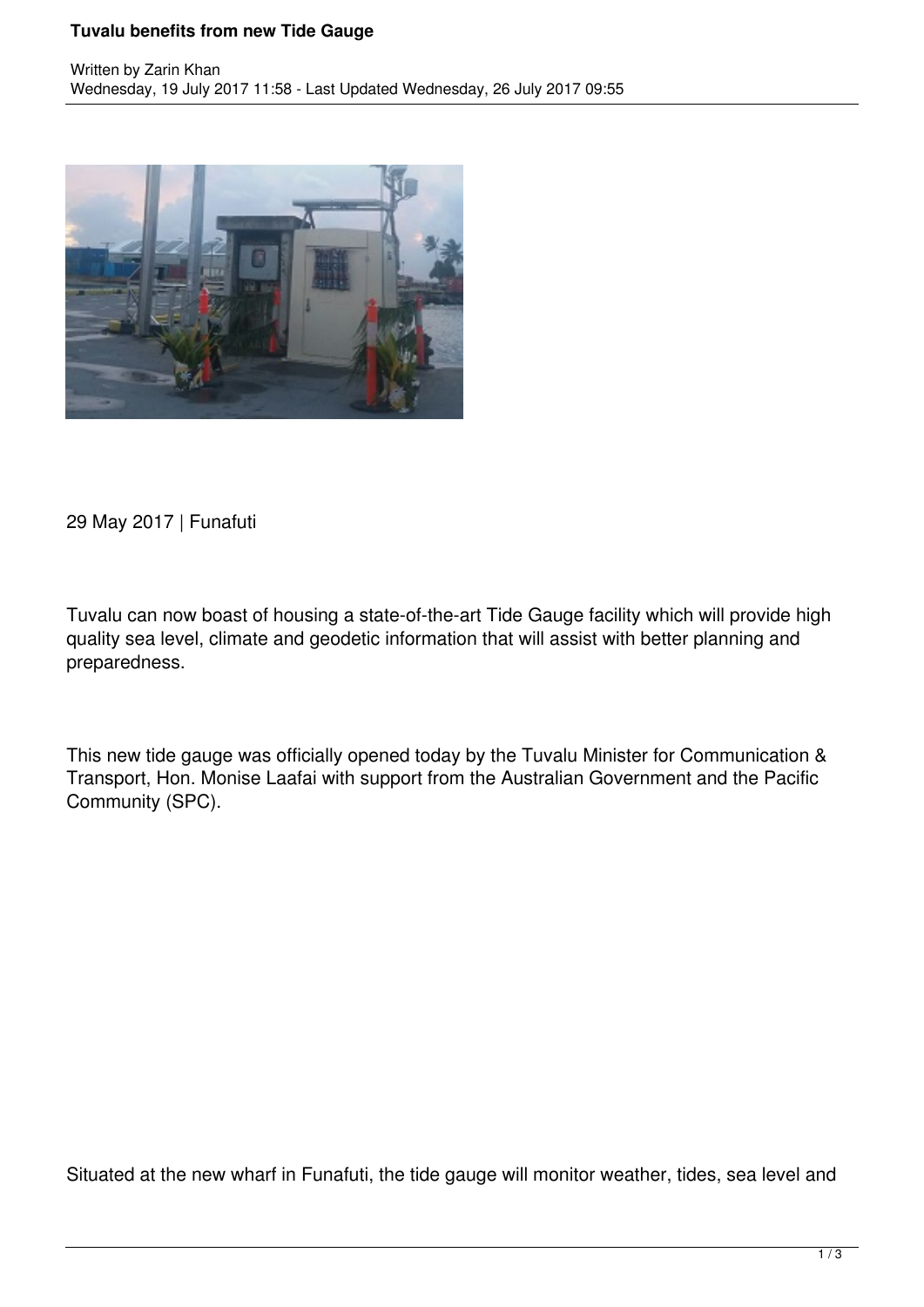## **Tuvalu benefits from new Tide Gauge**



29 May 2017 | Funafuti

Tuvalu can now boast of housing a state-of-the-art Tide Gauge facility which will provide high quality sea level, climate and geodetic information that will assist with better planning and preparedness.

This new tide gauge was officially opened today by the Tuvalu Minister for Communication & Transport, Hon. Monise Laafai with support from the Australian Government and the Pacific Community (SPC).

Situated at the new wharf in Funafuti, the tide gauge will monitor weather, tides, sea level and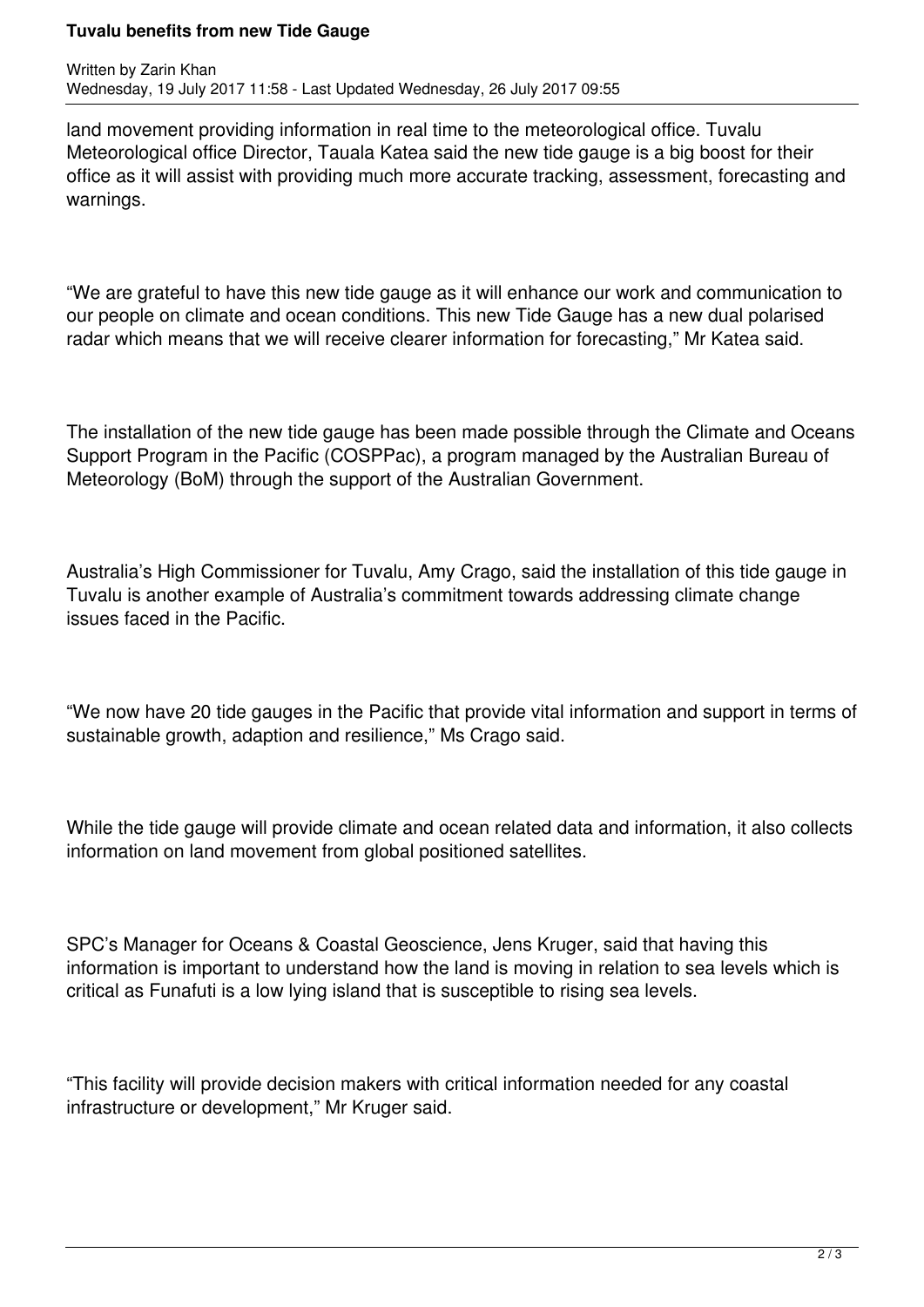## **Tuvalu benefits from new Tide Gauge**

land movement providing information in real time to the meteorological office. Tuvalu Meteorological office Director, Tauala Katea said the new tide gauge is a big boost for their office as it will assist with providing much more accurate tracking, assessment, forecasting and warnings.

"We are grateful to have this new tide gauge as it will enhance our work and communication to our people on climate and ocean conditions. This new Tide Gauge has a new dual polarised radar which means that we will receive clearer information for forecasting," Mr Katea said.

The installation of the new tide gauge has been made possible through the Climate and Oceans Support Program in the Pacific (COSPPac), a program managed by the Australian Bureau of Meteorology (BoM) through the support of the Australian Government.

Australia's High Commissioner for Tuvalu, Amy Crago, said the installation of this tide gauge in Tuvalu is another example of Australia's commitment towards addressing climate change issues faced in the Pacific.

"We now have 20 tide gauges in the Pacific that provide vital information and support in terms of sustainable growth, adaption and resilience," Ms Crago said.

While the tide gauge will provide climate and ocean related data and information, it also collects information on land movement from global positioned satellites.

SPC's Manager for Oceans & Coastal Geoscience, Jens Kruger, said that having this information is important to understand how the land is moving in relation to sea levels which is critical as Funafuti is a low lying island that is susceptible to rising sea levels.

"This facility will provide decision makers with critical information needed for any coastal infrastructure or development," Mr Kruger said.